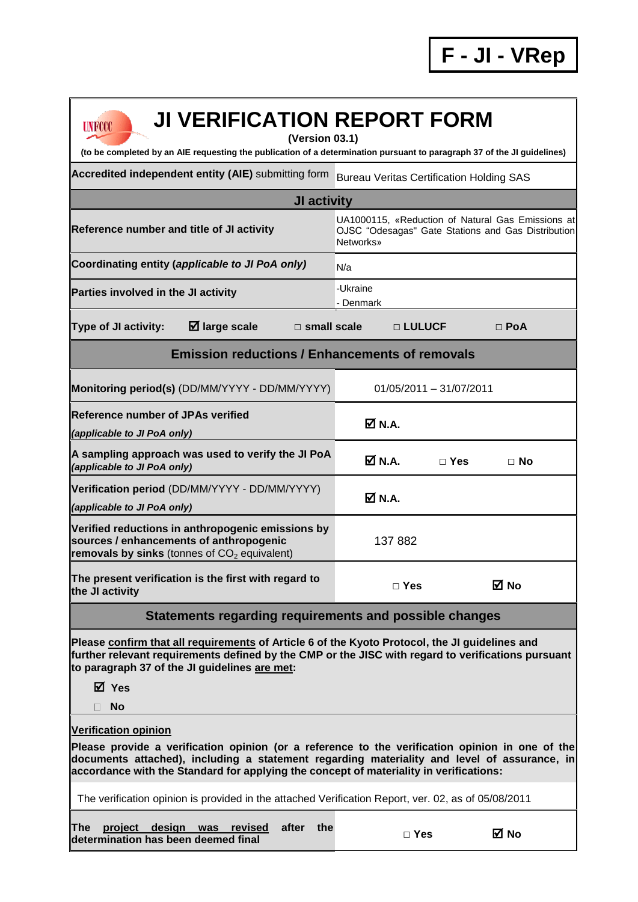| <b>JI VERIFICATION REPORT FORM</b><br><b>UNFCCC</b><br>(Version 03.1)<br>(to be completed by an AIE requesting the publication of a determination pursuant to paragraph 37 of the JI guidelines)                                                                                                                        |                                                 |                           |                                                                                                         |  |
|-------------------------------------------------------------------------------------------------------------------------------------------------------------------------------------------------------------------------------------------------------------------------------------------------------------------------|-------------------------------------------------|---------------------------|---------------------------------------------------------------------------------------------------------|--|
| Accredited independent entity (AIE) submitting form                                                                                                                                                                                                                                                                     | <b>Bureau Veritas Certification Holding SAS</b> |                           |                                                                                                         |  |
| JI activity                                                                                                                                                                                                                                                                                                             |                                                 |                           |                                                                                                         |  |
| Reference number and title of JI activity                                                                                                                                                                                                                                                                               | <b>Networks</b> »                               |                           | UA1000115, «Reduction of Natural Gas Emissions at<br>OJSC "Odesagas" Gate Stations and Gas Distribution |  |
| Coordinating entity (applicable to JI PoA only)                                                                                                                                                                                                                                                                         | N/a                                             |                           |                                                                                                         |  |
| Parties involved in the JI activity                                                                                                                                                                                                                                                                                     | -Ukraine<br>- Denmark                           |                           |                                                                                                         |  |
| $\boxtimes$ large scale<br><b>Type of JI activity:</b><br>$\Box$ small scale                                                                                                                                                                                                                                            | □ LULUCF                                        |                           | $\Box$ PoA                                                                                              |  |
| <b>Emission reductions / Enhancements of removals</b>                                                                                                                                                                                                                                                                   |                                                 |                           |                                                                                                         |  |
| Monitoring period(s) (DD/MM/YYYY - DD/MM/YYYY)                                                                                                                                                                                                                                                                          |                                                 | $01/05/2011 - 31/07/2011$ |                                                                                                         |  |
| <b>Reference number of JPAs verified</b><br>(applicable to JI PoA only)                                                                                                                                                                                                                                                 | M N.A.                                          |                           |                                                                                                         |  |
| A sampling approach was used to verify the JI PoA<br>(applicable to JI PoA only)                                                                                                                                                                                                                                        | M N.A.                                          | $\Box$ Yes                | $\Box$ No                                                                                               |  |
| Verification period (DD/MM/YYYY - DD/MM/YYYY)<br>(applicable to JI PoA only)                                                                                                                                                                                                                                            | M N.A.                                          |                           |                                                                                                         |  |
| Verified reductions in anthropogenic emissions by<br>sources / enhancements of anthropogenic<br>removals by sinks (tonnes of $CO2$ equivalent)                                                                                                                                                                          | 137 882                                         |                           |                                                                                                         |  |
| The present verification is the first with regard to<br>the JI activity                                                                                                                                                                                                                                                 | $\Box$ Yes                                      |                           | ⊠ No                                                                                                    |  |
| <b>Statements regarding requirements and possible changes</b>                                                                                                                                                                                                                                                           |                                                 |                           |                                                                                                         |  |
| Please confirm that all requirements of Article 6 of the Kyoto Protocol, the JI guidelines and<br>further relevant requirements defined by the CMP or the JISC with regard to verifications pursuant<br>to paragraph 37 of the JI guidelines are met:<br>⊠ Yes                                                          |                                                 |                           |                                                                                                         |  |
| <b>No</b><br>H                                                                                                                                                                                                                                                                                                          |                                                 |                           |                                                                                                         |  |
| <b>Verification opinion</b><br>Please provide a verification opinion (or a reference to the verification opinion in one of the<br>documents attached), including a statement regarding materiality and level of assurance, in<br>accordance with the Standard for applying the concept of materiality in verifications: |                                                 |                           |                                                                                                         |  |
| The verification opinion is provided in the attached Verification Report, ver. 02, as of 05/08/2011                                                                                                                                                                                                                     |                                                 |                           |                                                                                                         |  |
| project design was<br>after<br>the<br>The<br>revised<br>determination has been deemed final                                                                                                                                                                                                                             | $\Box$ Yes                                      |                           | ⊠ No                                                                                                    |  |